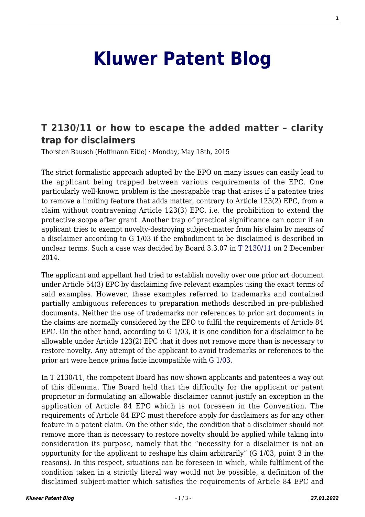## **[Kluwer Patent Blog](http://patentblog.kluweriplaw.com/)**

## **[T 2130/11 or how to escape the added matter – clarity](http://patentblog.kluweriplaw.com/2015/05/18/t-213011-or-how-to-escape-the-added-matter-clarity-trap-for-disclaimers/) [trap for disclaimers](http://patentblog.kluweriplaw.com/2015/05/18/t-213011-or-how-to-escape-the-added-matter-clarity-trap-for-disclaimers/)**

Thorsten Bausch (Hoffmann Eitle) · Monday, May 18th, 2015

The strict formalistic approach adopted by the EPO on many issues can easily lead to the applicant being trapped between various requirements of the EPC. One particularly well-known problem is the inescapable trap that arises if a patentee tries to remove a limiting feature that adds matter, contrary to Article 123(2) EPC, from a claim without contravening Article 123(3) EPC, i.e. the prohibition to extend the protective scope after grant. Another trap of practical significance can occur if an applicant tries to exempt novelty-destroying subject-matter from his claim by means of a disclaimer according to G 1/03 if the embodiment to be disclaimed is described in unclear terms. Such a case was decided by Board 3.3.07 in [T 2130/11](http://www.epo.org/law-practice/case-law-appeals/pdf/t112130eu1.pdf) on 2 December 2014.

The applicant and appellant had tried to establish novelty over one prior art document under Article 54(3) EPC by disclaiming five relevant examples using the exact terms of said examples. However, these examples referred to trademarks and contained partially ambiguous references to preparation methods described in pre-published documents. Neither the use of trademarks nor references to prior art documents in the claims are normally considered by the EPO to fulfil the requirements of Article 84 EPC. On the other hand, according to G 1/03, it is one condition for a disclaimer to be allowable under Article 123(2) EPC that it does not remove more than is necessary to restore novelty. Any attempt of the applicant to avoid trademarks or references to the prior art were hence prima facie incompatible with [G 1/03.](http://www.epo.org/law-practice/case-law-appeals/pdf/g030001ex1.pdf)

In T 2130/11, the competent Board has now shown applicants and patentees a way out of this dilemma. The Board held that the difficulty for the applicant or patent proprietor in formulating an allowable disclaimer cannot justify an exception in the application of Article 84 EPC which is not foreseen in the Convention. The requirements of Article 84 EPC must therefore apply for disclaimers as for any other feature in a patent claim. On the other side, the condition that a disclaimer should not remove more than is necessary to restore novelty should be applied while taking into consideration its purpose, namely that the "necessity for a disclaimer is not an opportunity for the applicant to reshape his claim arbitrarily" (G 1/03, point 3 in the reasons). In this respect, situations can be foreseen in which, while fulfilment of the condition taken in a strictly literal way would not be possible, a definition of the disclaimed subject-matter which satisfies the requirements of Article 84 EPC and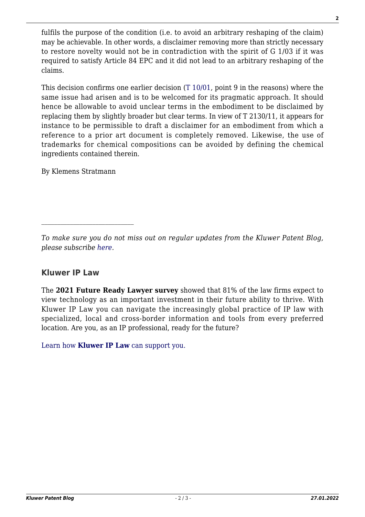fulfils the purpose of the condition (i.e. to avoid an arbitrary reshaping of the claim) may be achievable. In other words, a disclaimer removing more than strictly necessary to restore novelty would not be in contradiction with the spirit of G 1/03 if it was required to satisfy Article 84 EPC and it did not lead to an arbitrary reshaping of the claims.

This decision confirms one earlier decision [\(T 10/01,](http://www.epo.org/law-practice/case-law-appeals/pdf/t010010eu1.pdf) point 9 in the reasons) where the same issue had arisen and is to be welcomed for its pragmatic approach. It should hence be allowable to avoid unclear terms in the embodiment to be disclaimed by replacing them by slightly broader but clear terms. In view of T 2130/11, it appears for instance to be permissible to draft a disclaimer for an embodiment from which a reference to a prior art document is completely removed. Likewise, the use of trademarks for chemical compositions can be avoided by defining the chemical ingredients contained therein.

By Klemens Stratmann

 $\mathcal{L}_\text{max}$ 

## **Kluwer IP Law**

The **2021 Future Ready Lawyer survey** showed that 81% of the law firms expect to view technology as an important investment in their future ability to thrive. With Kluwer IP Law you can navigate the increasingly global practice of IP law with specialized, local and cross-border information and tools from every preferred location. Are you, as an IP professional, ready for the future?

[Learn how](https://www.wolterskluwer.com/en/solutions/kluweriplaw?utm_source=patentblog&utm_medium=articleCTA&utm_campaign=article-banner) **[Kluwer IP Law](https://www.wolterskluwer.com/en/solutions/kluweriplaw?utm_source=patentblog&utm_medium=articleCTA&utm_campaign=article-banner)** [can support you.](https://www.wolterskluwer.com/en/solutions/kluweriplaw?utm_source=patentblog&utm_medium=articleCTA&utm_campaign=article-banner)

*To make sure you do not miss out on regular updates from the Kluwer Patent Blog, please subscribe [here.](http://patentblog.kluweriplaw.com/newsletter)*